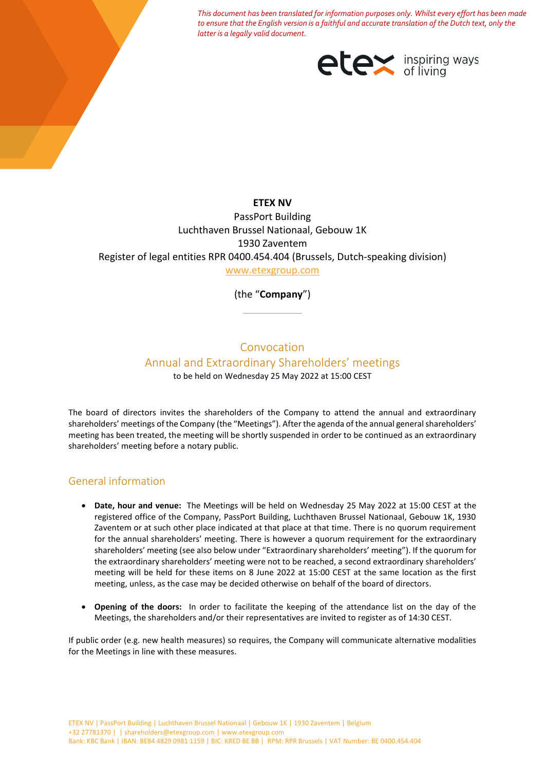*This document has been translated for information purposes only. Whilst every effort has been made to ensure that the English version is a faithful and accurate translation of the Dutch text, only the latter is a legally valid document.*



**ETEX NV** PassPort Building Luchthaven Brussel Nationaal, Gebouw 1K 1930 Zaventem Register of legal entities RPR 0400.454.404 (Brussels, Dutch-speaking division) [www.etexgroup.com](http://www.etexgroup.com/)

(the "**Company**")

# Convocation

## Annual and Extraordinary Shareholders' meetings

to be held on Wednesday 25 May 2022 at 15:00 CEST

The board of directors invites the shareholders of the Company to attend the annual and extraordinary shareholders' meetings of the Company (the "Meetings"). After the agenda of the annual general shareholders' meeting has been treated, the meeting will be shortly suspended in order to be continued as an extraordinary shareholders' meeting before a notary public.

## General information

- **Date, hour and venue:** The Meetings will be held on Wednesday 25 May 2022 at 15:00 CEST at the registered office of the Company, PassPort Building, Luchthaven Brussel Nationaal, Gebouw 1K, 1930 Zaventem or at such other place indicated at that place at that time. There is no quorum requirement for the annual shareholders' meeting. There is however a quorum requirement for the extraordinary shareholders' meeting (see also below under "Extraordinary shareholders' meeting"). If the quorum for the extraordinary shareholders' meeting were not to be reached, a second extraordinary shareholders' meeting will be held for these items on 8 June 2022 at 15:00 CEST at the same location as the first meeting, unless, as the case may be decided otherwise on behalf of the board of directors.
- **Opening of the doors:** In order to facilitate the keeping of the attendance list on the day of the Meetings, the shareholders and/or their representatives are invited to register as of 14:30 CEST.

If public order (e.g. new health measures) so requires, the Company will communicate alternative modalities for the Meetings in line with these measures.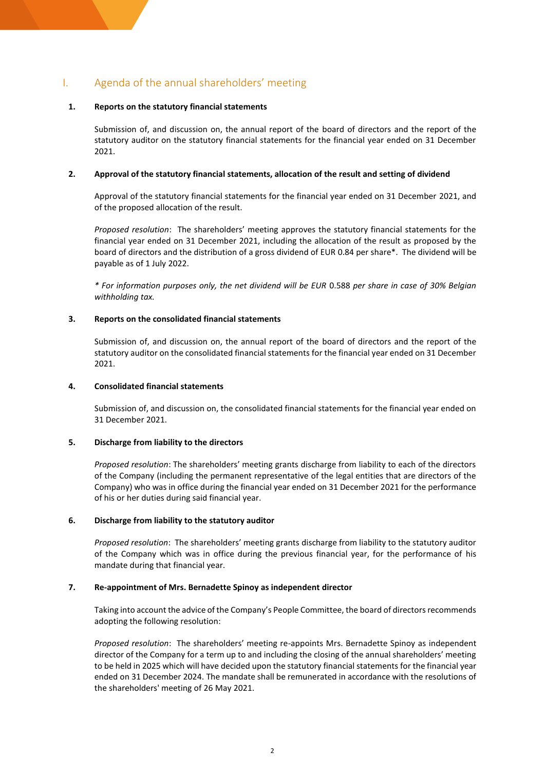## I. Agenda of the annual shareholders' meeting

#### **1. Reports on the statutory financial statements**

Submission of, and discussion on, the annual report of the board of directors and the report of the statutory auditor on the statutory financial statements for the financial year ended on 31 December 2021.

#### **2. Approval of the statutory financial statements, allocation of the result and setting of dividend**

Approval of the statutory financial statements for the financial year ended on 31 December 2021, and of the proposed allocation of the result.

*Proposed resolution*: The shareholders' meeting approves the statutory financial statements for the financial year ended on 31 December 2021, including the allocation of the result as proposed by the board of directors and the distribution of a gross dividend of EUR 0.84 per share\*. The dividend will be payable as of 1 July 2022.

*\* For information purposes only, the net dividend will be EUR* 0.588 *per share in case of 30% Belgian withholding tax.*

#### **3. Reports on the consolidated financial statements**

Submission of, and discussion on, the annual report of the board of directors and the report of the statutory auditor on the consolidated financial statements for the financial year ended on 31 December 2021.

#### **4. Consolidated financial statements**

Submission of, and discussion on, the consolidated financial statements for the financial year ended on 31 December 2021.

#### **5. Discharge from liability to the directors**

*Proposed resolution*: The shareholders' meeting grants discharge from liability to each of the directors of the Company (including the permanent representative of the legal entities that are directors of the Company) who was in office during the financial year ended on 31 December 2021 for the performance of his or her duties during said financial year.

#### **6. Discharge from liability to the statutory auditor**

*Proposed resolution*: The shareholders' meeting grants discharge from liability to the statutory auditor of the Company which was in office during the previous financial year, for the performance of his mandate during that financial year.

#### **7. Re-appointment of Mrs. Bernadette Spinoy as independent director**

Taking into account the advice of the Company's People Committee, the board of directors recommends adopting the following resolution:

*Proposed resolution*: The shareholders' meeting re-appoints Mrs. Bernadette Spinoy as independent director of the Company for a term up to and including the closing of the annual shareholders' meeting to be held in 2025 which will have decided upon the statutory financial statements for the financial year ended on 31 December 2024. The mandate shall be remunerated in accordance with the resolutions of the shareholders' meeting of 26 May 2021.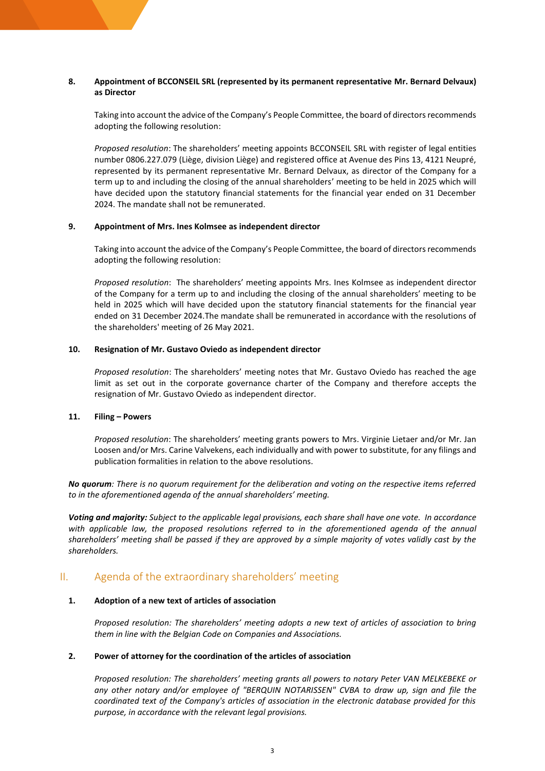#### **8. Appointment of BCCONSEIL SRL (represented by its permanent representative Mr. Bernard Delvaux) as Director**

Taking into account the advice of the Company's People Committee, the board of directors recommends adopting the following resolution:

*Proposed resolution*: The shareholders' meeting appoints BCCONSEIL SRL with register of legal entities number 0806.227.079 (Liège, division Liège) and registered office at Avenue des Pins 13, 4121 Neupré, represented by its permanent representative Mr. Bernard Delvaux, as director of the Company for a term up to and including the closing of the annual shareholders' meeting to be held in 2025 which will have decided upon the statutory financial statements for the financial year ended on 31 December 2024. The mandate shall not be remunerated.

#### **9. Appointment of Mrs. Ines Kolmsee as independent director**

Taking into account the advice of the Company's People Committee, the board of directors recommends adopting the following resolution:

*Proposed resolution*: The shareholders' meeting appoints Mrs. Ines Kolmsee as independent director of the Company for a term up to and including the closing of the annual shareholders' meeting to be held in 2025 which will have decided upon the statutory financial statements for the financial year ended on 31 December 2024.The mandate shall be remunerated in accordance with the resolutions of the shareholders' meeting of 26 May 2021.

#### **10. Resignation of Mr. Gustavo Oviedo as independent director**

*Proposed resolution*: The shareholders' meeting notes that Mr. Gustavo Oviedo has reached the age limit as set out in the corporate governance charter of the Company and therefore accepts the resignation of Mr. Gustavo Oviedo as independent director.

#### **11. Filing – Powers**

*Proposed resolution*: The shareholders' meeting grants powers to Mrs. Virginie Lietaer and/or Mr. Jan Loosen and/or Mrs. Carine Valvekens, each individually and with power to substitute, for any filings and publication formalities in relation to the above resolutions*.*

*No quorum: There is no quorum requirement for the deliberation and voting on the respective items referred to in the aforementioned agenda of the annual shareholders' meeting.*

*Voting and majority: Subject to the applicable legal provisions, each share shall have one vote. In accordance with applicable law, the proposed resolutions referred to in the aforementioned agenda of the annual shareholders' meeting shall be passed if they are approved by a simple majority of votes validly cast by the shareholders.* 

## II. Agenda of the extraordinary shareholders' meeting

#### **1. Adoption of a new text of articles of association**

*Proposed resolution: The shareholders' meeting adopts a new text of articles of association to bring them in line with the Belgian Code on Companies and Associations.*

#### **2. Power of attorney for the coordination of the articles of association**

*Proposed resolution: The shareholders' meeting grants all powers to notary Peter VAN MELKEBEKE or any other notary and/or employee of "BERQUIN NOTARISSEN" CVBA to draw up, sign and file the coordinated text of the Company's articles of association in the electronic database provided for this purpose, in accordance with the relevant legal provisions.*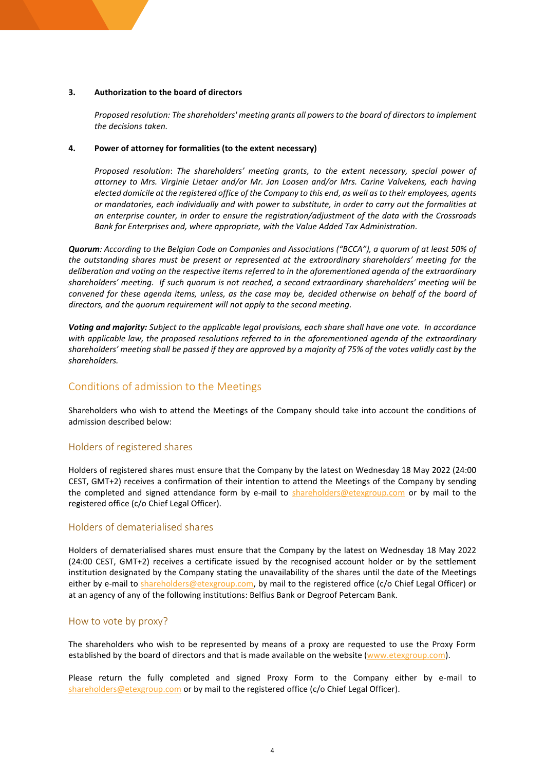#### **3. Authorization to the board of directors**

*Proposed resolution: The shareholders' meeting grants all powers to the board of directors to implement the decisions taken.*

#### **4. Power of attorney for formalities (to the extent necessary)**

*Proposed resolution*: *The shareholders' meeting grants, to the extent necessary, special power of attorney to Mrs. Virginie Lietaer and/or Mr. Jan Loosen and/or Mrs. Carine Valvekens, each having elected domicile at the registered office of the Company to this end, as well as to their employees, agents or mandatories, each individually and with power to substitute, in order to carry out the formalities at an enterprise counter, in order to ensure the registration/adjustment of the data with the Crossroads Bank for Enterprises and, where appropriate, with the Value Added Tax Administration.*

*Quorum: According to the Belgian Code on Companies and Associations ("BCCA"), a quorum of at least 50% of the outstanding shares must be present or represented at the extraordinary shareholders' meeting for the deliberation and voting on the respective items referred to in the aforementioned agenda of the extraordinary shareholders' meeting. If such quorum is not reached, a second extraordinary shareholders' meeting will be convened for these agenda items, unless, as the case may be, decided otherwise on behalf of the board of directors, and the quorum requirement will not apply to the second meeting.*

*Voting and majority: Subject to the applicable legal provisions, each share shall have one vote. In accordance with applicable law, the proposed resolutions referred to in the aforementioned agenda of the extraordinary shareholders' meeting shall be passed if they are approved by a majority of 75% of the votes validly cast by the shareholders.* 

### Conditions of admission to the Meetings

Shareholders who wish to attend the Meetings of the Company should take into account the conditions of admission described below:

### Holders of registered shares

Holders of registered shares must ensure that the Company by the latest on Wednesday 18 May 2022 (24:00 CEST, GMT+2) receives a confirmation of their intention to attend the Meetings of the Company by sending the completed and signed attendance form by e-mail to [shareholders@etexgroup.com](mailto:shareholders@etexgroup.com) or by mail to the registered office (c/o Chief Legal Officer).

#### Holders of dematerialised shares

Holders of dematerialised shares must ensure that the Company by the latest on Wednesday 18 May 2022 (24:00 CEST, GMT+2) receives a certificate issued by the recognised account holder or by the settlement institution designated by the Company stating the unavailability of the shares until the date of the Meetings either by e-mail to **shareholders@etexgroup.com**, by mail to the registered office (c/o Chief Legal Officer) or at an agency of any of the following institutions: Belfius Bank or Degroof Petercam Bank.

#### How to vote by proxy?

The shareholders who wish to be represented by means of a proxy are requested to use the Proxy Form established by the board of directors and that is made available on the website [\(www.etexgroup.com\)](http://www.etexgroup.com/).

Please return the fully completed and signed Proxy Form to the Company either by e-mail to [shareholders@etexgroup.com](mailto:shareholders@etexgroup.com) or by mail to the registered office (c/o Chief Legal Officer).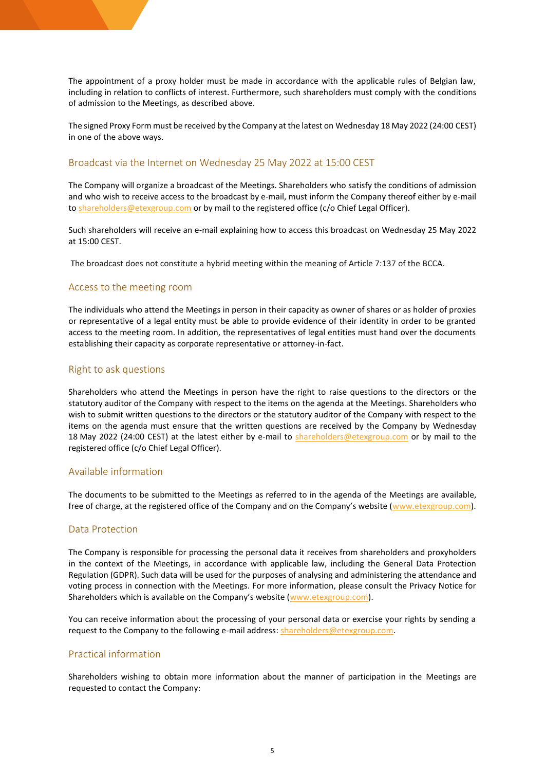The appointment of a proxy holder must be made in accordance with the applicable rules of Belgian law, including in relation to conflicts of interest. Furthermore, such shareholders must comply with the conditions of admission to the Meetings, as described above.

The signed Proxy Form must be received by the Company at the latest on Wednesday 18 May 2022 (24:00 CEST) in one of the above ways.

#### Broadcast via the Internet on Wednesday 25 May 2022 at 15:00 CEST

The Company will organize a broadcast of the Meetings. Shareholders who satisfy the conditions of admission and who wish to receive access to the broadcast by e-mail, must inform the Company thereof either by e-mail t[o shareholders@etexgroup.com](mailto:shareholders@etexgroup.com) or by mail to the registered office (c/o Chief Legal Officer).

Such shareholders will receive an e-mail explaining how to access this broadcast on Wednesday 25 May 2022 at 15:00 CEST.

The broadcast does not constitute a hybrid meeting within the meaning of Article 7:137 of the BCCA.

#### Access to the meeting room

The individuals who attend the Meetings in person in their capacity as owner of shares or as holder of proxies or representative of a legal entity must be able to provide evidence of their identity in order to be granted access to the meeting room. In addition, the representatives of legal entities must hand over the documents establishing their capacity as corporate representative or attorney-in-fact.

#### Right to ask questions

Shareholders who attend the Meetings in person have the right to raise questions to the directors or the statutory auditor of the Company with respect to the items on the agenda at the Meetings. Shareholders who wish to submit written questions to the directors or the statutory auditor of the Company with respect to the items on the agenda must ensure that the written questions are received by the Company by Wednesday 18 May 2022 (24:00 CEST) at the latest either by e-mail to [shareholders@etexgroup.com](mailto:shareholders@etexgroup.com) or by mail to the registered office (c/o Chief Legal Officer).

#### Available information

The documents to be submitted to the Meetings as referred to in the agenda of the Meetings are available, free of charge, at the registered office of the Company and on the Company's website ([www.etexgroup.com\)](http://www.etexgroup.com/).

#### Data Protection

The Company is responsible for processing the personal data it receives from shareholders and proxyholders in the context of the Meetings, in accordance with applicable law, including the General Data Protection Regulation (GDPR). Such data will be used for the purposes of analysing and administering the attendance and voting process in connection with the Meetings. For more information, please consult the Privacy Notice for Shareholders which is available on the Company's website ([www.etexgroup.com\)](http://www.etexgroup.com/).

You can receive information about the processing of your personal data or exercise your rights by sending a request to the Company to the following e-mail address[: shareholders@etexgroup.com.](mailto:shareholders@etexgroup.com)

#### Practical information

Shareholders wishing to obtain more information about the manner of participation in the Meetings are requested to contact the Company: